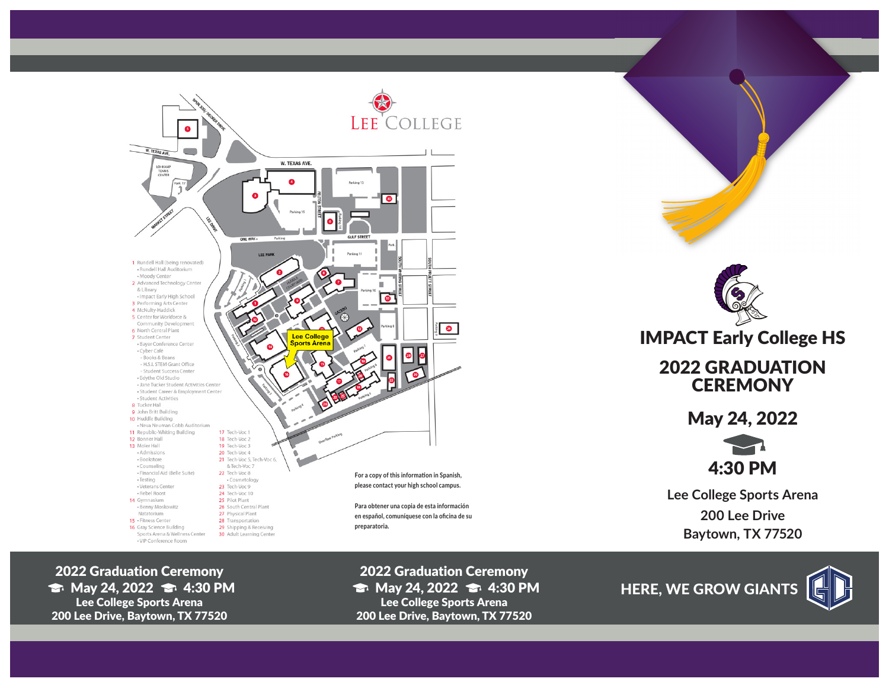

2022 Graduation Ceremony  $\Rightarrow$  May 24, 2022  $\Rightarrow$  4:30 PM Lee College Sports Arena 200 Lee Drive, Baytown, TX 77520



May 24, 2022

4:30 PM

**Lee College Sports Arena 200 Lee Drive Baytown, TX 77520**

2022 Graduation Ceremony  $\Rightarrow$  May 24, 2022  $\Rightarrow$  4:30 PM Lee College Sports Arena 200 Lee Drive, Baytown, TX 77520

HERE, WE GROW GIANTS